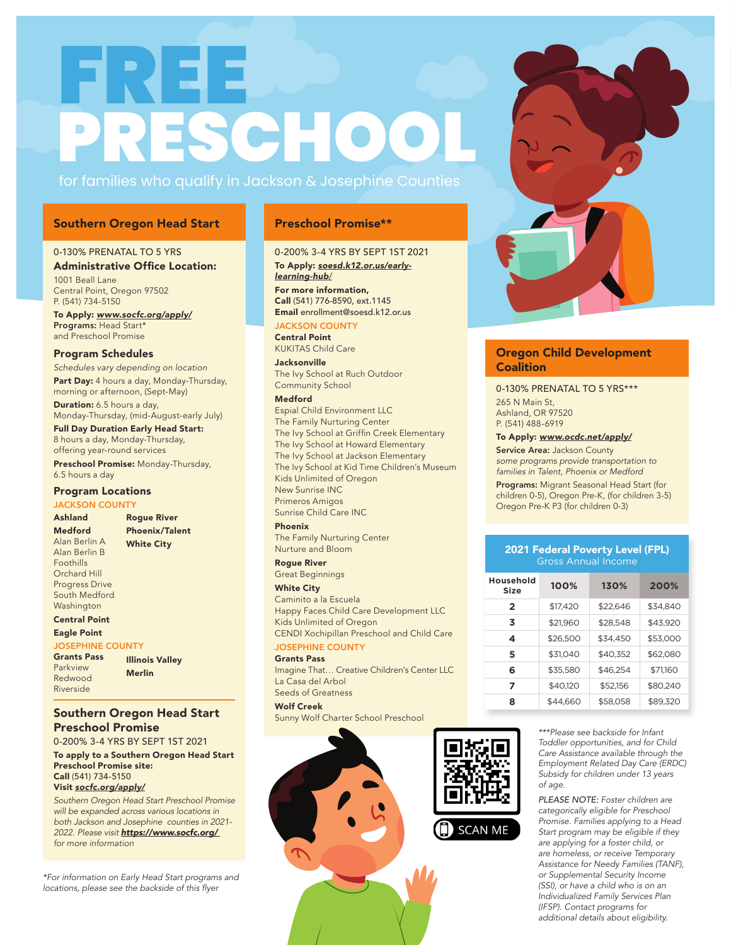# FREE **PRESCHOOL**

## for families who qualify in Jackson & Josephine Counties

### Southern Oregon Head Start Preschool Promise\*\*

### 0-130% PRENATAL TO 5 YRS

### Administrative Office Location:

1001 Beall Lane Central Point, Oregon 97502 P. (541) 734-5150 To Apply: *www.socfc.org/apply/*

Programs: Head Start\* and Preschool Promise

### Program Schedules

*Schedules vary depending on location* Part Day: 4 hours a day, Monday-Thursday, morning or afternoon, (Sept-May)

**Duration:** 6.5 hours a day, Monday-Thursday, (mid-August-early July)

Full Day Duration Early Head Start: 8 hours a day, Monday-Thursday, offering year-round services

Preschool Promise: Monday-Thursday, 6.5 hours a day

### Program Locations

**JACKSON COUNTY** 

Ashland Medford Alan Berlin A Alan Berlin B Foothills Orchard Hill Progress Drive South Medford Washington Rogue River Phoenix/Talent White City

### Central Point

Eagle Point

### JOSEPHINE COUNTY Grants Pass

| <b>Grants Pass</b> | <b>Illinois Valley</b> |
|--------------------|------------------------|
| Parkview           | <b>Merlin</b>          |
| Redwood            |                        |
| Riverside          |                        |

### Southern Oregon Head Start Preschool Promise

0-200% 3-4 YRS BY SEPT 1ST 2021

To apply to a Southern Oregon Head Start Preschool Promise site: Call (541) 734-5150 Visit *socfc.org/apply/*

*Southern Oregon Head Start Preschool Promise will be expanded across various locations in both Jackson and Josephine counties in 2021- 2022. Please visit https://www.socfc.org/ for more information*

*\*For information on Early Head Start programs and*  locations, please see the backside of this flyer

### 0-200% 3-4 YRS BY SEPT 1ST 2021

To Apply: *soesd.k12.or.us/earlylearning-hub*/ For more information, Call (541) 776-8590, ext.1145 Email enrollment@soesd.k12.or.us

### JACKSON COUNTY

Central Point KUKITAS Child Care

Jacksonville The Ivy School at Ruch Outdoor Community School

### Medford

Espial Child Environment LLC The Family Nurturing Center The Ivy School at Griffin Creek Elementary The Ivy School at Howard Elementary The Ivy School at Jackson Elementary The Ivy School at Kid Time Children's Museum Kids Unlimited of Oregon New Sunrise INC Primeros Amigos Sunrise Child Care INC

### Phoenix

The Family Nurturing Center Nurture and Bloom

Rogue River Great Beginnings

### White City

Caminito a la Escuela Happy Faces Child Care Development LLC Kids Unlimited of Oregon CENDI Xochipillan Preschool and Child Care

### JOSEPHINE COUNTY Grants Pass

Imagine That… Creative Children's Center LLC La Casa del Arbol Seeds of Greatness

### Wolf Creek

Sunny Wolf Charter School Preschool





### Oregon Child Development **Coalition**

0-130% PRENATAL TO 5 YRS\*\*\* 265 N Main St, Ashland, OR 97520 P. (541) 488-6919

### To Apply: *www.ocdc.net/apply/*

Service Area: Jackson County *some programs provide transportation to families in Talent, Phoenix or Medford* Programs: Migrant Seasonal Head Start (for children 0-5), Oregon Pre-K, (for children 3-5) Oregon Pre-K P3 (for children 0-3)

### 2021 Federal Poverty Level (FPL) Gross Annual Income

| Household<br>Size | 100%     | 130%     | 200%     |
|-------------------|----------|----------|----------|
| $\mathbf{2}$      | \$17,420 | \$22,646 | \$34,840 |
| 3                 | \$21,960 | \$28,548 | \$43,920 |
| 4                 | \$26,500 | \$34,450 | \$53,000 |
| 5                 | \$31,040 | \$40,352 | \$62,080 |
| 6                 | \$35,580 | \$46,254 | \$71,160 |
| 7                 | \$40,120 | \$52,156 | \$80,240 |
| 8                 | \$44,660 | \$58,058 | \$89,320 |

*\*\*\*Please see backside for Infant Toddler opportunities, and for Child Care Assistance available through the Employment Related Day Care (ERDC) Subsidy for children under 13 years of age.*

*PLEASE NOTE: Foster children are categorically eligible for Preschool Promise. Families applying to a Head Start program may be eligible if they are applying for a foster child, or are homeless, or receive Temporary Assistance for Needy Families (TANF), or Supplemental Security Income (SSI), or have a child who is on an Individualized Family Services Plan (IFSP). Contact programs for additional details about eligibility.*